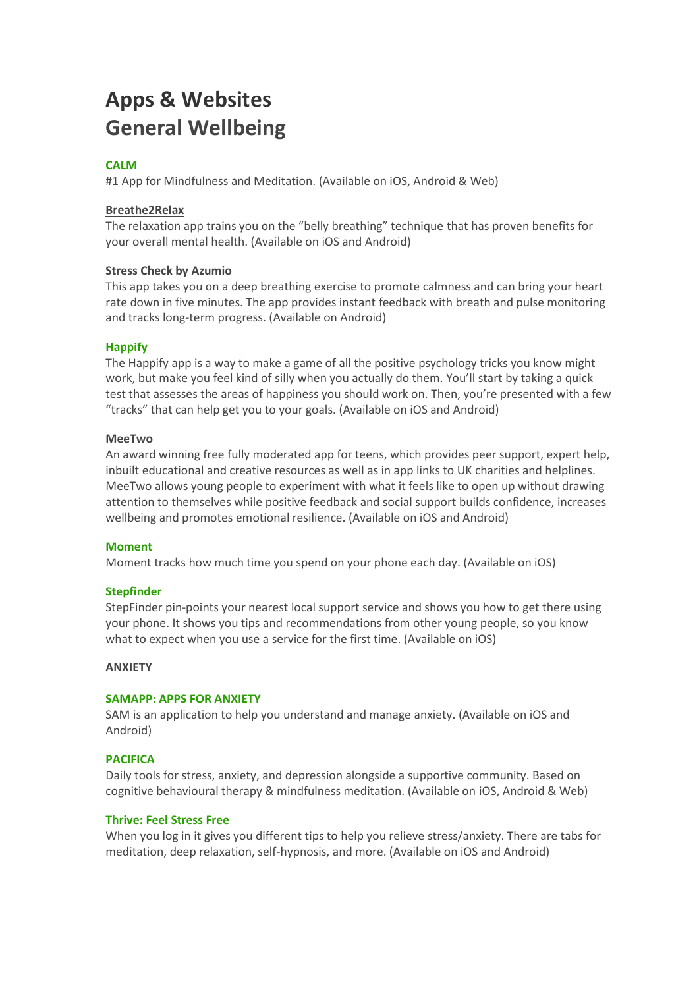# **Apps & Websites General Wellbeing**

## **[CALM](https://www.calm.com/)**

#1 App for Mindfulness and Meditation. (Available on iOS, Android & Web)

#### **Breathe2Relax**

The relaxation app trains you on the "belly breathing" technique that has proven benefits for your overall mental health. (Available on iOS and Android)

#### **Stress Check by Azumio**

This app takes you on a deep breathing exercise to promote calmness and can bring your heart rate down in five minutes. The app provides instant feedback with breath and pulse monitoring and tracks long-term progress. (Available on Android)

#### **[Happify](https://www.happify.com/)**

The Happify app is a way to make a game of all the positive psychology tricks you know might work, but make you feel kind of silly when you actually do them. You'll start by taking a quick test that assesses the areas of happiness you should work on. Then, you're presented with a few "tracks" that can help get you to your goals. (Available on iOS and Android)

#### **MeeTwo**

An award winning free fully moderated app for teens, which provides peer support, expert help, inbuilt educational and creative resources as well as in app links to UK charities and helplines. MeeTwo allows young people to experiment with what it feels like to open up without drawing attention to themselves while positive feedback and social support builds confidence, increases wellbeing and promotes emotional resilience. (Available on iOS and Android)

#### **[Moment](https://inthemoment.io/)**

Moment tracks how much time you spend on your phone each day. (Available on iOS)

#### **[Stepfinder](http://stepfinder.org/)**

StepFinder pin-points your nearest local support service and shows you how to get there using your phone. It shows you tips and recommendations from other young people, so you know what to expect when you use a service for the first time. (Available on iOS)

#### **ANXIETY**

#### **[SAMAPP:](http://sam-app.org.uk/) APPS FOR ANXIETY**

SAM is an application to help you understand and manage anxiety. (Available on iOS and Android)

#### **[PACIFICA](https://www.thinkpacifica.com/)**

Daily tools for stress, anxiety, and depression alongside a supportive community. Based on cognitive behavioural therapy & mindfulness meditation. (Available on iOS, Android & Web)

#### **[Thrive:](https://thrive.uk.com/) Feel Stress Free**

When you log in it gives you different tips to help you relieve stress/anxiety. There are tabs for meditation, deep relaxation, self-hypnosis, and more. (Available on iOS and Android)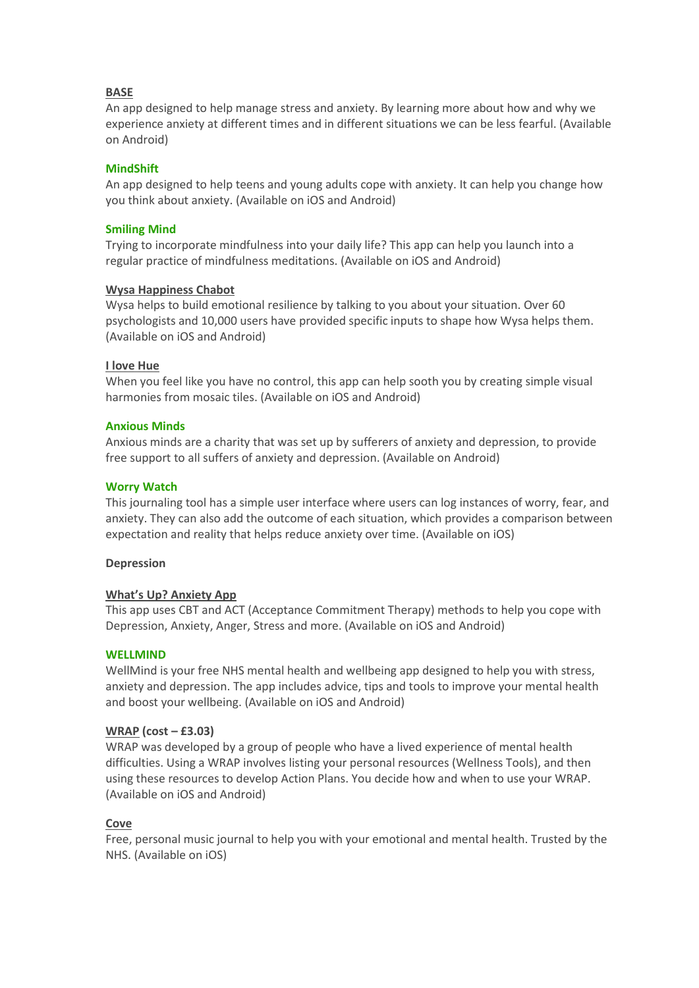## **BASE**

An app designed to help manage stress and anxiety. By learning more about how and why we experience anxiety at different times and in different situations we can be less fearful. (Available on Android)

## **[MindShift](https://www.anxietybc.com/resources/mindshift-app)**

An app designed to help teens and young adults cope with anxiety. It can help you change how you think about anxiety. (Available on iOS and Android)

## **[Smiling](https://www.smilingmind.com.au/) Mind**

Trying to incorporate mindfulness into your daily life? This app can help you launch into a regular practice of mindfulness meditations. (Available on iOS and Android)

#### **Wysa Happiness Chabot**

Wysa helps to build emotional resilience by talking to you about your situation. Over 60 psychologists and 10,000 users have provided specific inputs to shape how Wysa helps them. (Available on iOS and Android)

#### **I love Hue**

When you feel like you have no control, this app can help sooth you by creating simple visual harmonies from mosaic tiles. (Available on iOS and Android)

## **[Anxious](https://www.anxiousminds.co.uk/) Minds**

Anxious minds are a charity that was set up by sufferers of anxiety and depression, to provide free support to all suffers of anxiety and depression. (Available on Android)

## **Worry [Watch](http://worrywatch.com/)**

This journaling tool has a simple user interface where users can log instances of worry, fear, and anxiety. They can also add the outcome of each situation, which provides a comparison between expectation and reality that helps reduce anxiety over time. (Available on iOS)

#### **Depression**

#### **What's Up? Anxiety App**

This app uses CBT and ACT (Acceptance Commitment Therapy) methods to help you cope with Depression, Anxiety, Anger, Stress and more. (Available on iOS and Android)

#### **[WELLMIND](http://www.dwmh.nhs.uk/wellmind/)**

WellMind is your free NHS mental health and wellbeing app designed to help you with stress, anxiety and depression. The app includes advice, tips and tools to improve your mental health and boost your wellbeing. (Available on iOS and Android)

#### **WRAP (cost – £3.03)**

WRAP was developed by a group of people who have a lived experience of mental health difficulties. Using a WRAP involves listing your personal resources (Wellness Tools), and then using these resources to develop Action Plans. You decide how and when to use your WRAP. (Available on iOS and Android)

# **Cove**

Free, personal music journal to help you with your emotional and mental health. Trusted by the NHS. (Available on iOS)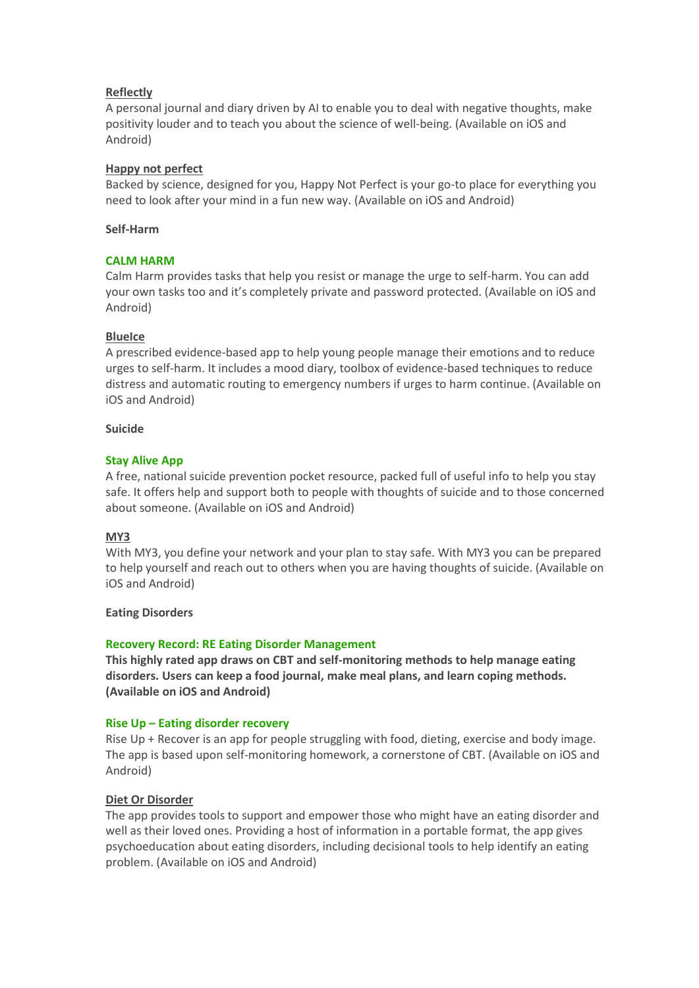## **Reflectly**

A personal journal and diary driven by AI to enable you to deal with negative thoughts, make positivity louder and to teach you about the science of well-being. (Available on iOS and Android)

## **Happy not perfect**

Backed by science, designed for you, Happy Not Perfect is your go-to place for everything you need to look after your mind in a fun new way. (Available on iOS and Android)

## **Self-Harm**

## **CALM [HARM](https://calmharm.co.uk/)**

Calm Harm provides tasks that help you resist or manage the urge to self-harm. You can add your own tasks too and it's completely private and password protected. (Available on iOS and Android)

## **BlueIce**

A prescribed evidence-based app to help young people manage their emotions and to reduce urges to self-harm. It includes a mood diary, toolbox of evidence-based techniques to reduce distress and automatic routing to emergency numbers if urges to harm continue. (Available on iOS and Android)

#### **Suicide**

## **Stay [Alive](https://www.prevent-suicide.org.uk/stay_alive_suicide_prevention_mobile_phone_application.html) App**

A free, national suicide prevention pocket resource, packed full of useful info to help you stay safe. It offers help and support both to people with thoughts of suicide and to those concerned about someone. (Available on iOS and Android)

# **MY3**

With MY3, you define your network and your plan to stay safe. With MY3 you can be prepared to help yourself and reach out to others when you are having thoughts of suicide. (Available on iOS and Android)

#### **Eating Disorders**

#### **Recovery Record: RE Eating Disorder [Management](https://www.recoveryrecord.co.uk/)**

**This highly rated app draws on CBT and self-monitoring methods to help manage eating disorders. Users can keep a food journal, make meal plans, and learn coping methods. (Available on iOS and Android)**

#### **Rise Up – Eating disorder [recovery](https://www.recoverywarriors.com/app/)**

Rise Up + Recover is an app for people struggling with food, dieting, exercise and body image. The app is based upon self-monitoring homework, a cornerstone of CBT. (Available on iOS and Android)

#### **Diet Or Disorder**

The app provides tools to support and empower those who might have an eating disorder and well as their loved ones. Providing a host of information in a portable format, the app gives psychoeducation about eating disorders, including decisional tools to help identify an eating problem. (Available on iOS and Android)